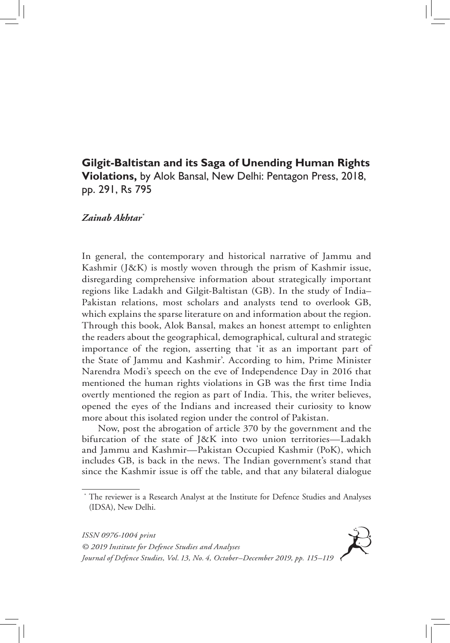## **Gilgit-Baltistan and its Saga of Unending Human Rights Violations,** by Alok Bansal, New Delhi: Pentagon Press, 2018, pp. 291, Rs 795

## *Zainab Akhtar\**

In general, the contemporary and historical narrative of Jammu and Kashmir (J&K) is mostly woven through the prism of Kashmir issue, disregarding comprehensive information about strategically important regions like Ladakh and Gilgit-Baltistan (GB). In the study of India– Pakistan relations, most scholars and analysts tend to overlook GB, which explains the sparse literature on and information about the region. Through this book, Alok Bansal, makes an honest attempt to enlighten the readers about the geographical, demographical, cultural and strategic importance of the region, asserting that 'it as an important part of the State of Jammu and Kashmir'. According to him, Prime Minister Narendra Modi's speech on the eve of Independence Day in 2016 that mentioned the human rights violations in GB was the first time India overtly mentioned the region as part of India. This, the writer believes, opened the eyes of the Indians and increased their curiosity to know more about this isolated region under the control of Pakistan.

Now, post the abrogation of article 370 by the government and the bifurcation of the state of J&K into two union territories—Ladakh and Jammu and Kashmir—Pakistan Occupied Kashmir (PoK), which includes GB, is back in the news. The Indian government's stand that since the Kashmir issue is off the table, and that any bilateral dialogue

*ISSN 0976-1004 print © 2019 Institute for Defence Studies and Analyses Journal of Defence Studies, Vol. 13, No. 4, October–December 2019, pp. 115–119*

The reviewer is a Research Analyst at the Institute for Defence Studies and Analyses (IDSA), New Delhi.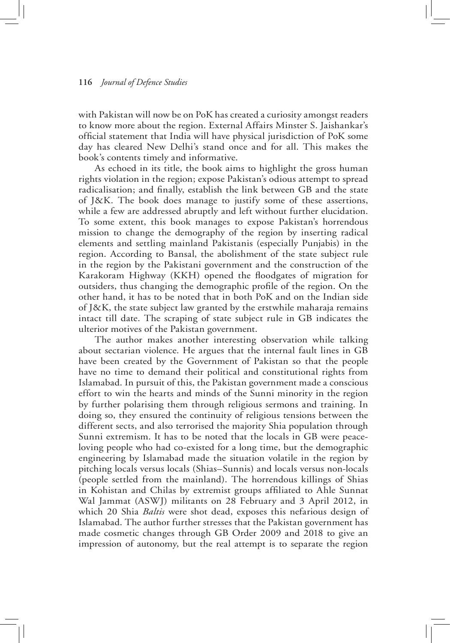## **116** *Journal of Defence Studies*

with Pakistan will now be on PoK has created a curiosity amongst readers to know more about the region. External Affairs Minster S. Jaishankar's official statement that India will have physical jurisdiction of PoK some day has cleared New Delhi's stand once and for all. This makes the book's contents timely and informative.

As echoed in its title, the book aims to highlight the gross human rights violation in the region; expose Pakistan's odious attempt to spread radicalisation; and finally, establish the link between GB and the state of J&K. The book does manage to justify some of these assertions, while a few are addressed abruptly and left without further elucidation. To some extent, this book manages to expose Pakistan's horrendous mission to change the demography of the region by inserting radical elements and settling mainland Pakistanis (especially Punjabis) in the region. According to Bansal, the abolishment of the state subject rule in the region by the Pakistani government and the construction of the Karakoram Highway (KKH) opened the floodgates of migration for outsiders, thus changing the demographic profile of the region. On the other hand, it has to be noted that in both PoK and on the Indian side of J&K, the state subject law granted by the erstwhile maharaja remains intact till date. The scraping of state subject rule in GB indicates the ulterior motives of the Pakistan government.

The author makes another interesting observation while talking about sectarian violence. He argues that the internal fault lines in GB have been created by the Government of Pakistan so that the people have no time to demand their political and constitutional rights from Islamabad. In pursuit of this, the Pakistan government made a conscious effort to win the hearts and minds of the Sunni minority in the region by further polarising them through religious sermons and training. In doing so, they ensured the continuity of religious tensions between the different sects, and also terrorised the majority Shia population through Sunni extremism. It has to be noted that the locals in GB were peaceloving people who had co-existed for a long time, but the demographic engineering by Islamabad made the situation volatile in the region by pitching locals versus locals (Shias–Sunnis) and locals versus non-locals (people settled from the mainland). The horrendous killings of Shias in Kohistan and Chilas by extremist groups affiliated to Ahle Sunnat Wal Jammat (ASWJ) militants on 28 February and 3 April 2012, in which 20 Shia *Baltis* were shot dead, exposes this nefarious design of Islamabad. The author further stresses that the Pakistan government has made cosmetic changes through GB Order 2009 and 2018 to give an impression of autonomy, but the real attempt is to separate the region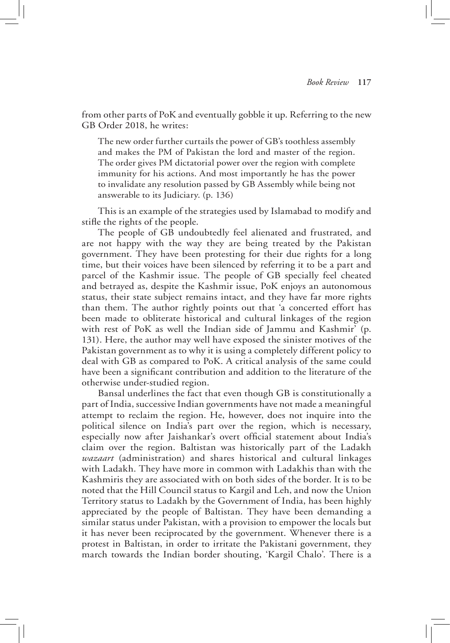from other parts of PoK and eventually gobble it up. Referring to the new GB Order 2018, he writes:

The new order further curtails the power of GB's toothless assembly and makes the PM of Pakistan the lord and master of the region. The order gives PM dictatorial power over the region with complete immunity for his actions. And most importantly he has the power to invalidate any resolution passed by GB Assembly while being not answerable to its Judiciary. (p. 136)

This is an example of the strategies used by Islamabad to modify and stifle the rights of the people.

The people of GB undoubtedly feel alienated and frustrated, and are not happy with the way they are being treated by the Pakistan government. They have been protesting for their due rights for a long time, but their voices have been silenced by referring it to be a part and parcel of the Kashmir issue. The people of GB specially feel cheated and betrayed as, despite the Kashmir issue, PoK enjoys an autonomous status, their state subject remains intact, and they have far more rights than them. The author rightly points out that 'a concerted effort has been made to obliterate historical and cultural linkages of the region with rest of PoK as well the Indian side of Jammu and Kashmir' (p. 131). Here, the author may well have exposed the sinister motives of the Pakistan government as to why it is using a completely different policy to deal with GB as compared to PoK. A critical analysis of the same could have been a significant contribution and addition to the literature of the otherwise under-studied region.

Bansal underlines the fact that even though GB is constitutionally a part of India, successive Indian governments have not made a meaningful attempt to reclaim the region. He, however, does not inquire into the political silence on India's part over the region, which is necessary, especially now after Jaishankar's overt official statement about India's claim over the region. Baltistan was historically part of the Ladakh *wazaart* (administration) and shares historical and cultural linkages with Ladakh. They have more in common with Ladakhis than with the Kashmiris they are associated with on both sides of the border. It is to be noted that the Hill Council status to Kargil and Leh, and now the Union Territory status to Ladakh by the Government of India, has been highly appreciated by the people of Baltistan. They have been demanding a similar status under Pakistan, with a provision to empower the locals but it has never been reciprocated by the government. Whenever there is a protest in Baltistan, in order to irritate the Pakistani government, they march towards the Indian border shouting, 'Kargil Chalo'. There is a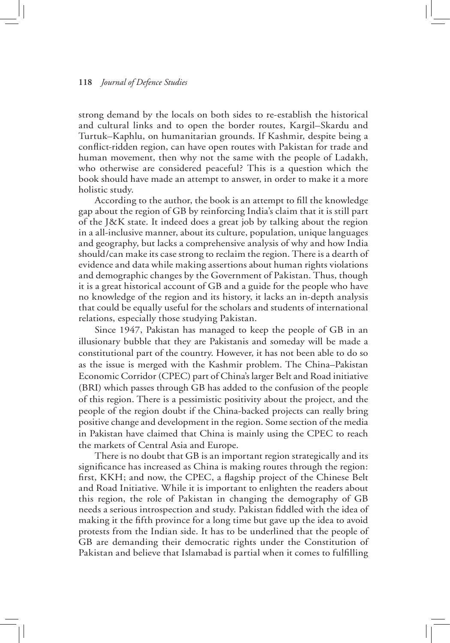## **118** *Journal of Defence Studies*

strong demand by the locals on both sides to re-establish the historical and cultural links and to open the border routes, Kargil–Skardu and Turtuk–Kaphlu, on humanitarian grounds. If Kashmir, despite being a conflict-ridden region, can have open routes with Pakistan for trade and human movement, then why not the same with the people of Ladakh, who otherwise are considered peaceful? This is a question which the book should have made an attempt to answer, in order to make it a more holistic study.

According to the author, the book is an attempt to fill the knowledge gap about the region of GB by reinforcing India's claim that it is still part of the J&K state. It indeed does a great job by talking about the region in a all-inclusive manner, about its culture, population, unique languages and geography, but lacks a comprehensive analysis of why and how India should/can make its case strong to reclaim the region. There is a dearth of evidence and data while making assertions about human rights violations and demographic changes by the Government of Pakistan. Thus, though it is a great historical account of GB and a guide for the people who have no knowledge of the region and its history, it lacks an in-depth analysis that could be equally useful for the scholars and students of international relations, especially those studying Pakistan.

Since 1947, Pakistan has managed to keep the people of GB in an illusionary bubble that they are Pakistanis and someday will be made a constitutional part of the country. However, it has not been able to do so as the issue is merged with the Kashmir problem. The China–Pakistan Economic Corridor (CPEC) part of China's larger Belt and Road initiative (BRI) which passes through GB has added to the confusion of the people of this region. There is a pessimistic positivity about the project, and the people of the region doubt if the China-backed projects can really bring positive change and development in the region. Some section of the media in Pakistan have claimed that China is mainly using the CPEC to reach the markets of Central Asia and Europe.

There is no doubt that GB is an important region strategically and its significance has increased as China is making routes through the region: first, KKH; and now, the CPEC, a flagship project of the Chinese Belt and Road Initiative. While it is important to enlighten the readers about this region, the role of Pakistan in changing the demography of GB needs a serious introspection and study. Pakistan fiddled with the idea of making it the fifth province for a long time but gave up the idea to avoid protests from the Indian side. It has to be underlined that the people of GB are demanding their democratic rights under the Constitution of Pakistan and believe that Islamabad is partial when it comes to fulfilling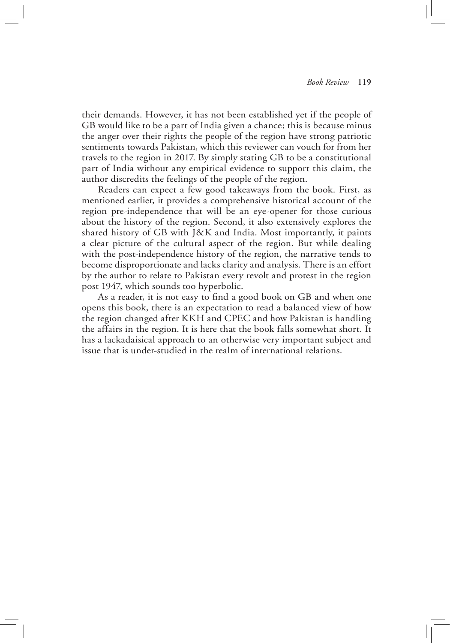their demands. However, it has not been established yet if the people of GB would like to be a part of India given a chance; this is because minus the anger over their rights the people of the region have strong patriotic sentiments towards Pakistan, which this reviewer can vouch for from her travels to the region in 2017. By simply stating GB to be a constitutional part of India without any empirical evidence to support this claim, the author discredits the feelings of the people of the region.

Readers can expect a few good takeaways from the book. First, as mentioned earlier, it provides a comprehensive historical account of the region pre-independence that will be an eye-opener for those curious about the history of the region. Second, it also extensively explores the shared history of GB with J&K and India. Most importantly, it paints a clear picture of the cultural aspect of the region. But while dealing with the post-independence history of the region, the narrative tends to become disproportionate and lacks clarity and analysis. There is an effort by the author to relate to Pakistan every revolt and protest in the region post 1947, which sounds too hyperbolic.

As a reader, it is not easy to find a good book on GB and when one opens this book, there is an expectation to read a balanced view of how the region changed after KKH and CPEC and how Pakistan is handling the affairs in the region. It is here that the book falls somewhat short. It has a lackadaisical approach to an otherwise very important subject and issue that is under-studied in the realm of international relations.